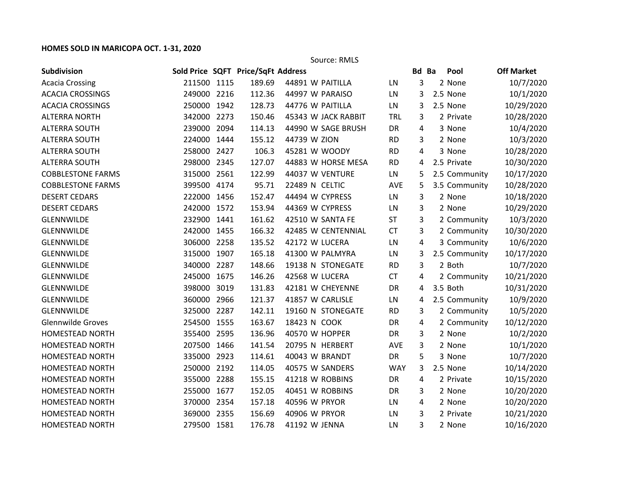## **HOMES SOLD IN MARICOPA OCT. 1-31, 2020**

Source: RMLS

| Subdivision              |             |      | Sold Price SQFT Price/SqFt Address |                     |            | Bd Ba | Pool          | <b>Off Market</b> |
|--------------------------|-------------|------|------------------------------------|---------------------|------------|-------|---------------|-------------------|
| <b>Acacia Crossing</b>   | 211500 1115 |      | 189.69                             | 44891 W PAITILLA    | LN         | 3     | 2 None        | 10/7/2020         |
| <b>ACACIA CROSSINGS</b>  | 249000      | 2216 | 112.36                             | 44997 W PARAISO     | LN         | 3     | 2.5 None      | 10/1/2020         |
| <b>ACACIA CROSSINGS</b>  | 250000      | 1942 | 128.73                             | 44776 W PAITILLA    | LN         | 3     | 2.5 None      | 10/29/2020        |
| <b>ALTERRA NORTH</b>     | 342000 2273 |      | 150.46                             | 45343 W JACK RABBIT | <b>TRL</b> | 3     | 2 Private     | 10/28/2020        |
| <b>ALTERRA SOUTH</b>     | 239000      | 2094 | 114.13                             | 44990 W SAGE BRUSH  | DR         | 4     | 3 None        | 10/4/2020         |
| <b>ALTERRA SOUTH</b>     | 224000      | 1444 | 155.12                             | 44739 W ZION        | <b>RD</b>  | 3     | 2 None        | 10/3/2020         |
| <b>ALTERRA SOUTH</b>     | 258000 2427 |      | 106.3                              | 45281 W WOODY       | <b>RD</b>  | 4     | 3 None        | 10/28/2020        |
| <b>ALTERRA SOUTH</b>     | 298000      | 2345 | 127.07                             | 44883 W HORSE MESA  | <b>RD</b>  | 4     | 2.5 Private   | 10/30/2020        |
| <b>COBBLESTONE FARMS</b> | 315000      | 2561 | 122.99                             | 44037 W VENTURE     | LN         | 5     | 2.5 Community | 10/17/2020        |
| <b>COBBLESTONE FARMS</b> | 399500 4174 |      | 95.71                              | 22489 N CELTIC      | AVE        | 5     | 3.5 Community | 10/28/2020        |
| <b>DESERT CEDARS</b>     | 222000      | 1456 | 152.47                             | 44494 W CYPRESS     | LN         | 3     | 2 None        | 10/18/2020        |
| <b>DESERT CEDARS</b>     | 242000      | 1572 | 153.94                             | 44369 W CYPRESS     | LN         | 3     | 2 None        | 10/29/2020        |
| <b>GLENNWILDE</b>        | 232900      | 1441 | 161.62                             | 42510 W SANTA FE    | <b>ST</b>  | 3     | 2 Community   | 10/3/2020         |
| <b>GLENNWILDE</b>        | 242000      | 1455 | 166.32                             | 42485 W CENTENNIAL  | <b>CT</b>  | 3     | 2 Community   | 10/30/2020        |
| <b>GLENNWILDE</b>        | 306000      | 2258 | 135.52                             | 42172 W LUCERA      | LN         | 4     | 3 Community   | 10/6/2020         |
| <b>GLENNWILDE</b>        | 315000      | 1907 | 165.18                             | 41300 W PALMYRA     | LN         | 3     | 2.5 Community | 10/17/2020        |
| <b>GLENNWILDE</b>        | 340000      | 2287 | 148.66                             | 19138 N STONEGATE   | <b>RD</b>  | 3     | 2 Both        | 10/7/2020         |
| <b>GLENNWILDE</b>        | 245000 1675 |      | 146.26                             | 42568 W LUCERA      | <b>CT</b>  | 4     | 2 Community   | 10/21/2020        |
| <b>GLENNWILDE</b>        | 398000      | 3019 | 131.83                             | 42181 W CHEYENNE    | DR         | 4     | 3.5 Both      | 10/31/2020        |
| <b>GLENNWILDE</b>        | 360000      | 2966 | 121.37                             | 41857 W CARLISLE    | LN         | 4     | 2.5 Community | 10/9/2020         |
| <b>GLENNWILDE</b>        | 325000 2287 |      | 142.11                             | 19160 N STONEGATE   | <b>RD</b>  | 3     | 2 Community   | 10/5/2020         |
| <b>Glennwilde Groves</b> | 254500      | 1555 | 163.67                             | 18423 N COOK        | DR         | 4     | 2 Community   | 10/12/2020        |
| <b>HOMESTEAD NORTH</b>   | 355400      | 2595 | 136.96                             | 40570 W HOPPER      | <b>DR</b>  | 3     | 2 None        | 10/2/2020         |
| <b>HOMESTEAD NORTH</b>   | 207500 1466 |      | 141.54                             | 20795 N HERBERT     | AVE        | 3     | 2 None        | 10/1/2020         |
| <b>HOMESTEAD NORTH</b>   | 335000      | 2923 | 114.61                             | 40043 W BRANDT      | DR         | 5     | 3 None        | 10/7/2020         |
| <b>HOMESTEAD NORTH</b>   | 250000      | 2192 | 114.05                             | 40575 W SANDERS     | <b>WAY</b> | 3     | 2.5 None      | 10/14/2020        |
| <b>HOMESTEAD NORTH</b>   | 355000 2288 |      | 155.15                             | 41218 W ROBBINS     | DR         | 4     | 2 Private     | 10/15/2020        |
| <b>HOMESTEAD NORTH</b>   | 255000      | 1677 | 152.05                             | 40451 W ROBBINS     | <b>DR</b>  | 3     | 2 None        | 10/20/2020        |
| <b>HOMESTEAD NORTH</b>   | 370000      | 2354 | 157.18                             | 40596 W PRYOR       | LN         | 4     | 2 None        | 10/20/2020        |
| <b>HOMESTEAD NORTH</b>   | 369000 2355 |      | 156.69                             | 40906 W PRYOR       | LN         | 3     | 2 Private     | 10/21/2020        |
| <b>HOMESTEAD NORTH</b>   | 279500 1581 |      | 176.78                             | 41192 W JENNA       | LN         | 3     | 2 None        | 10/16/2020        |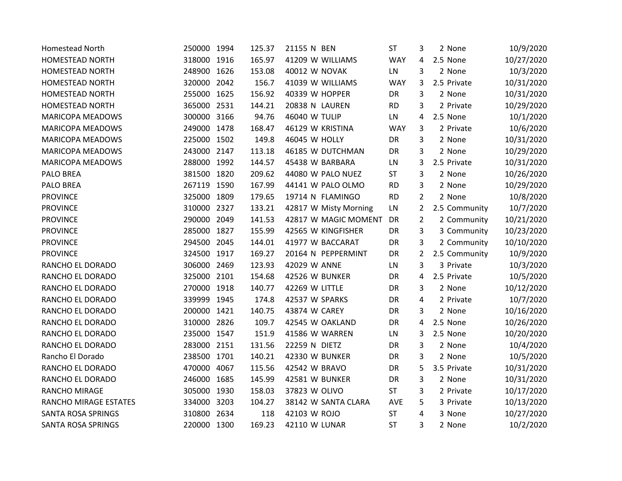| <b>Homestead North</b>    | 250000      | 1994 | 125.37 | 21155 N BEN           | <b>ST</b>  | 3              | 2 None        | 10/9/2020  |
|---------------------------|-------------|------|--------|-----------------------|------------|----------------|---------------|------------|
| <b>HOMESTEAD NORTH</b>    | 318000      | 1916 | 165.97 | 41209 W WILLIAMS      | <b>WAY</b> | 4              | 2.5 None      | 10/27/2020 |
| <b>HOMESTEAD NORTH</b>    | 248900 1626 |      | 153.08 | <b>40012 W NOVAK</b>  | LN         | 3              | 2 None        | 10/3/2020  |
| <b>HOMESTEAD NORTH</b>    | 320000      | 2042 | 156.7  | 41039 W WILLIAMS      | <b>WAY</b> | 3              | 2.5 Private   | 10/31/2020 |
| HOMESTEAD NORTH           | 255000      | 1625 | 156.92 | 40339 W HOPPER        | DR         | 3              | 2 None        | 10/31/2020 |
| <b>HOMESTEAD NORTH</b>    | 365000      | 2531 | 144.21 | 20838 N LAUREN        | <b>RD</b>  | 3              | 2 Private     | 10/29/2020 |
| <b>MARICOPA MEADOWS</b>   | 300000 3166 |      | 94.76  | 46040 W TULIP         | LN         | 4              | 2.5 None      | 10/1/2020  |
| <b>MARICOPA MEADOWS</b>   | 249000      | 1478 | 168.47 | 46129 W KRISTINA      | <b>WAY</b> | 3              | 2 Private     | 10/6/2020  |
| <b>MARICOPA MEADOWS</b>   | 225000      | 1502 | 149.8  | 46045 W HOLLY         | DR         | 3              | 2 None        | 10/31/2020 |
| <b>MARICOPA MEADOWS</b>   | 243000      | 2147 | 113.18 | 46185 W DUTCHMAN      | DR         | 3              | 2 None        | 10/29/2020 |
| <b>MARICOPA MEADOWS</b>   | 288000      | 1992 | 144.57 | 45438 W BARBARA       | LN         | 3              | 2.5 Private   | 10/31/2020 |
| PALO BREA                 | 381500 1820 |      | 209.62 | 44080 W PALO NUEZ     | <b>ST</b>  | 3              | 2 None        | 10/26/2020 |
| <b>PALO BREA</b>          | 267119 1590 |      | 167.99 | 44141 W PALO OLMO     | <b>RD</b>  | 3              | 2 None        | 10/29/2020 |
| <b>PROVINCE</b>           | 325000      | 1809 | 179.65 | 19714 N FLAMINGO      | <b>RD</b>  | $\overline{2}$ | 2 None        | 10/8/2020  |
| <b>PROVINCE</b>           | 310000      | 2327 | 133.21 | 42817 W Misty Morning | LN         | 2              | 2.5 Community | 10/7/2020  |
| <b>PROVINCE</b>           | 290000      | 2049 | 141.53 | 42817 W MAGIC MOMENT  | DR         | $\overline{2}$ | 2 Community   | 10/21/2020 |
| <b>PROVINCE</b>           | 285000      | 1827 | 155.99 | 42565 W KINGFISHER    | DR         | 3              | 3 Community   | 10/23/2020 |
| <b>PROVINCE</b>           | 294500      | 2045 | 144.01 | 41977 W BACCARAT      | DR         | 3              | 2 Community   | 10/10/2020 |
| <b>PROVINCE</b>           | 324500      | 1917 | 169.27 | 20164 N PEPPERMINT    | DR         | $\overline{2}$ | 2.5 Community | 10/9/2020  |
| RANCHO EL DORADO          | 306000      | 2469 | 123.93 | 42029 W ANNE          | LN         | 3              | 3 Private     | 10/3/2020  |
| RANCHO EL DORADO          | 325000      | 2101 | 154.68 | 42526 W BUNKER        | DR         | 4              | 2.5 Private   | 10/5/2020  |
| RANCHO EL DORADO          | 270000 1918 |      | 140.77 | 42269 W LITTLE        | DR         | 3              | 2 None        | 10/12/2020 |
| RANCHO EL DORADO          | 339999      | 1945 | 174.8  | 42537 W SPARKS        | DR         | 4              | 2 Private     | 10/7/2020  |
| RANCHO EL DORADO          | 200000      | 1421 | 140.75 | 43874 W CAREY         | DR         | 3              | 2 None        | 10/16/2020 |
| RANCHO EL DORADO          | 310000      | 2826 | 109.7  | 42545 W OAKLAND       | DR         | 4              | 2.5 None      | 10/26/2020 |
| RANCHO EL DORADO          | 235000 1547 |      | 151.9  | 41586 W WARREN        | LN         | 3              | 2.5 None      | 10/20/2020 |
| RANCHO EL DORADO          | 283000 2151 |      | 131.56 | 22259 N DIETZ         | DR         | 3              | 2 None        | 10/4/2020  |
| Rancho El Dorado          | 238500      | 1701 | 140.21 | 42330 W BUNKER        | DR         | 3              | 2 None        | 10/5/2020  |
| RANCHO EL DORADO          | 470000      | 4067 | 115.56 | 42542 W BRAVO         | DR         | 5              | 3.5 Private   | 10/31/2020 |
| RANCHO EL DORADO          | 246000      | 1685 | 145.99 | 42581 W BUNKER        | DR         | 3              | 2 None        | 10/31/2020 |
| RANCHO MIRAGE             | 305000      | 1930 | 158.03 | 37823 W OLIVO         | <b>ST</b>  | 3              | 2 Private     | 10/17/2020 |
| RANCHO MIRAGE ESTATES     | 334000      | 3203 | 104.27 | 38142 W SANTA CLARA   | AVE        | 5              | 3 Private     | 10/13/2020 |
| <b>SANTA ROSA SPRINGS</b> | 310800      | 2634 | 118    | 42103 W ROJO          | <b>ST</b>  | 4              | 3 None        | 10/27/2020 |
| <b>SANTA ROSA SPRINGS</b> | 220000 1300 |      | 169.23 | 42110 W LUNAR         | <b>ST</b>  | 3              | 2 None        | 10/2/2020  |